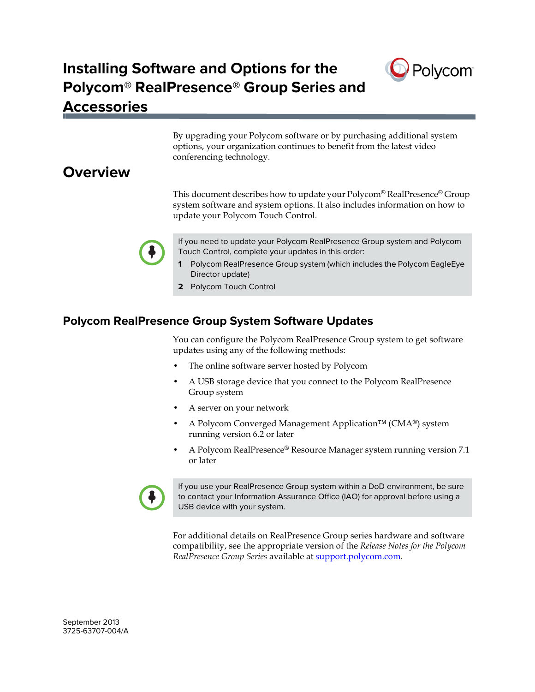# **Installing Software and Options for the Polycom® RealPresence® Group Series and Accessories**



By upgrading your Polycom software or by purchasing additional system options, your organization continues to benefit from the latest video conferencing technology.

# **Overview**

This document describes how to update your Polycom® RealPresence® Group system software and system options. It also includes information on how to update your Polycom Touch Control.



- If you need to update your Polycom RealPresence Group system and Polycom Touch Control, complete your updates in this order:
- **1** Polycom RealPresence Group system (which includes the Polycom EagleEye Director update)
- **2** Polycom Touch Control

### **Polycom RealPresence Group System Software Updates**

You can configure the Polycom RealPresence Group system to get software updates using any of the following methods:

- **•** The online software server hosted by Polycom
- **•** A USB storage device that you connect to the Polycom RealPresence Group system
- **•** A server on your network
- **•** A Polycom Converged Management Application™ (CMA®) system running version 6.2 or later
- **•** A Polycom RealPresence® Resource Manager system running version 7.1 or later



If you use your RealPresence Group system within a DoD environment, be sure to contact your Information Assurance Office (IAO) for approval before using a USB device with your system.

For additional details on RealPresence Group series hardware and software compatibility, see the appropriate version of the *Release Notes for the Polycom RealPresence Group Series* available at [support.polycom.com.](http://support.polycom.com)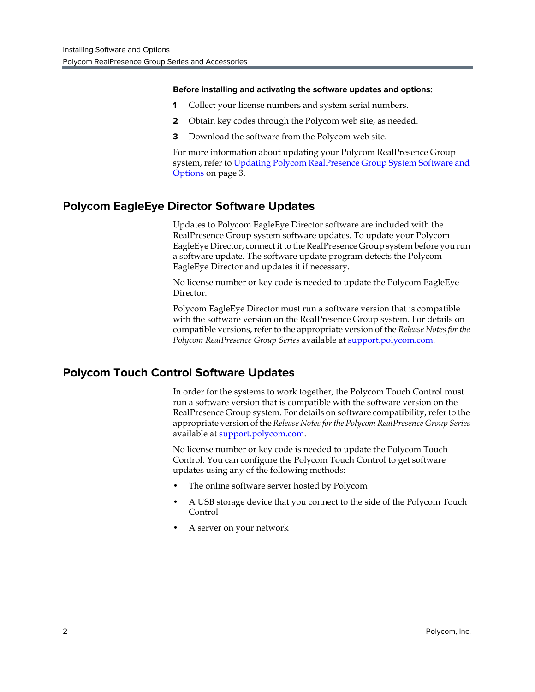#### **Before installing and activating the software updates and options:**

- **1** Collect your license numbers and system serial numbers.
- **2** Obtain key codes through the Polycom web site, as needed.
- **3** Download the software from the Polycom web site.

For more information about updating your Polycom RealPresence Group system, refer to [Updating Polycom RealPresence Group System Software and](#page-2-0)  [Options on page 3.](#page-2-0)

### **Polycom EagleEye Director Software Updates**

Updates to Polycom EagleEye Director software are included with the RealPresence Group system software updates. To update your Polycom EagleEye Director, connect it to the RealPresence Group system before you run a software update. The software update program detects the Polycom EagleEye Director and updates it if necessary.

No license number or key code is needed to update the Polycom EagleEye Director.

Polycom EagleEye Director must run a software version that is compatible with the software version on the RealPresence Group system. For details on compatible versions, refer to the appropriate version of the *Release Notes for the Polycom RealPresence Group Series* available at [support.polycom.com.](http://support.polycom.com)

### **Polycom Touch Control Software Updates**

In order for the systems to work together, the Polycom Touch Control must run a software version that is compatible with the software version on the RealPresence Group system. For details on software compatibility, refer to the appropriate version of the *Release Notes for the Polycom RealPresence Group Series* available at [support.polycom.com](http://support.polycom.com).

No license number or key code is needed to update the Polycom Touch Control. You can configure the Polycom Touch Control to get software updates using any of the following methods:

- **•** The online software server hosted by Polycom
- **•** A USB storage device that you connect to the side of the Polycom Touch Control
- **•** A server on your network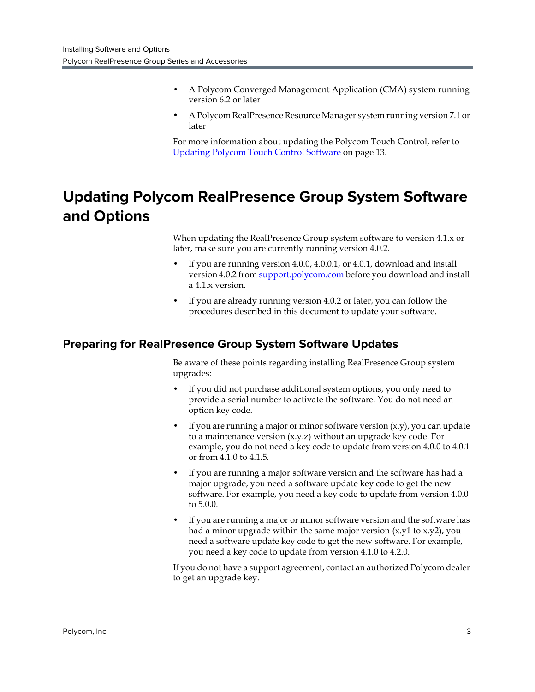- **•** A Polycom Converged Management Application (CMA) system running version 6.2 or later
- **•** A Polycom RealPresence Resource Manager system running version 7.1 or later

For more information about updating the Polycom Touch Control, refer to [Updating Polycom Touch Control Software on page 13](#page-12-0).

# <span id="page-2-0"></span>**Updating Polycom RealPresence Group System Software and Options**

When updating the RealPresence Group system software to version 4.1.x or later, make sure you are currently running version 4.0.2.

- **•** If you are running version 4.0.0, 4.0.0.1, or 4.0.1, download and install version 4.0.2 from [support.polycom.com](http://support.polycom.com) before you download and install a 4.1.x version.
- **•** If you are already running version 4.0.2 or later, you can follow the procedures described in this document to update your software.

### **Preparing for RealPresence Group System Software Updates**

Be aware of these points regarding installing RealPresence Group system upgrades:

- **•** If you did not purchase additional system options, you only need to provide a serial number to activate the software. You do not need an option key code.
- **•** If you are running a major or minor software version (x.y), you can update to a maintenance version (x.y.z) without an upgrade key code. For example, you do not need a key code to update from version 4.0.0 to 4.0.1 or from 4.1.0 to 4.1.5.
- **•** If you are running a major software version and the software has had a major upgrade, you need a software update key code to get the new software. For example, you need a key code to update from version 4.0.0 to 5.0.0.
- **•** If you are running a major or minor software version and the software has had a minor upgrade within the same major version (x.y1 to x.y2), you need a software update key code to get the new software. For example, you need a key code to update from version 4.1.0 to 4.2.0.

If you do not have a support agreement, contact an authorized Polycom dealer to get an upgrade key.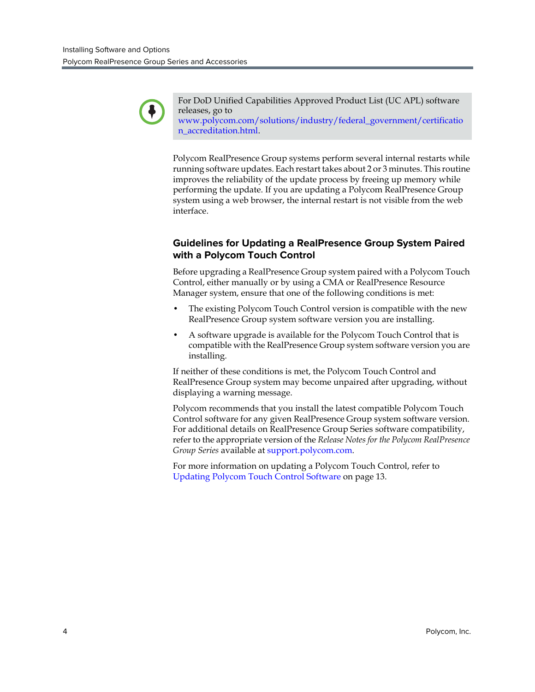

[n\\_accreditation.html](http://www.polycom.com/solutions/industry/federal_government/certification_accreditation.html).

For DoD Unified Capabilities Approved Product List (UC APL) software releases, go to [www.polycom.com/solutions/industry/federal\\_government/certificatio](http://www.polycom.com/solutions/industry/federal_government/certification_accreditation.html)

Polycom RealPresence Group systems perform several internal restarts while running software updates. Each restart takes about 2 or 3 minutes. This routine improves the reliability of the update process by freeing up memory while performing the update. If you are updating a Polycom RealPresence Group system using a web browser, the internal restart is not visible from the web interface.

### **Guidelines for Updating a RealPresence Group System Paired with a Polycom Touch Control**

Before upgrading a RealPresence Group system paired with a Polycom Touch Control, either manually or by using a CMA or RealPresence Resource Manager system, ensure that one of the following conditions is met:

- **•** The existing Polycom Touch Control version is compatible with the new RealPresence Group system software version you are installing.
- **•** A software upgrade is available for the Polycom Touch Control that is compatible with the RealPresence Group system software version you are installing.

If neither of these conditions is met, the Polycom Touch Control and RealPresence Group system may become unpaired after upgrading, without displaying a warning message.

Polycom recommends that you install the latest compatible Polycom Touch Control software for any given RealPresence Group system software version. For additional details on RealPresence Group Series software compatibility, refer to the appropriate version of the *Release Notes for the Polycom RealPresence Group Series* available at [support.polycom.com](http://support.polycom.com).

For more information on updating a Polycom Touch Control, refer to [Updating Polycom Touch Control Software on page 13](#page-12-0).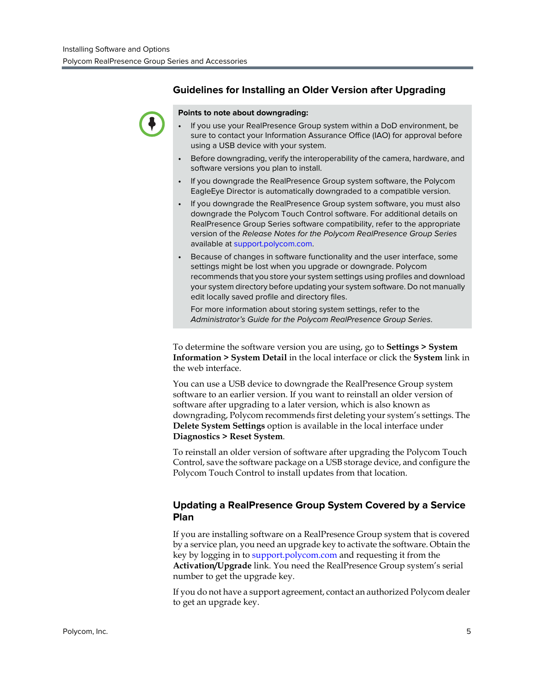### **Guidelines for Installing an Older Version after Upgrading**



#### **Points to note about downgrading:**

- **•** If you use your RealPresence Group system within a DoD environment, be sure to contact your Information Assurance Office (IAO) for approval before using a USB device with your system.
- **•** Before downgrading, verify the interoperability of the camera, hardware, and software versions you plan to install.
- **•** If you downgrade the RealPresence Group system software, the Polycom EagleEye Director is automatically downgraded to a compatible version.
- **•** If you downgrade the RealPresence Group system software, you must also downgrade the Polycom Touch Control software. For additional details on RealPresence Group Series software compatibility, refer to the appropriate version of the *Release Notes for the Polycom RealPresence Group Series* available at [support.polycom.com](http://support.polycom.com).
- **•** Because of changes in software functionality and the user interface, some settings might be lost when you upgrade or downgrade. Polycom recommends that you store your system settings using profiles and download your system directory before updating your system software. Do not manually edit locally saved profile and directory files.

For more information about storing system settings, refer to the *Administrator's Guide for the Polycom RealPresence Group Series*.

To determine the software version you are using, go to **Settings > System Information > System Detail** in the local interface or click the **System** link in the web interface.

You can use a USB device to downgrade the RealPresence Group system software to an earlier version. If you want to reinstall an older version of software after upgrading to a later version, which is also known as downgrading, Polycom recommends first deleting your system's settings. The **Delete System Settings** option is available in the local interface under **Diagnostics > Reset System**.

To reinstall an older version of software after upgrading the Polycom Touch Control, save the software package on a USB storage device, and configure the Polycom Touch Control to install updates from that location.

### **Updating a RealPresence Group System Covered by a Service Plan**

If you are installing software on a RealPresence Group system that is covered by a service plan, you need an upgrade key to activate the software. Obtain the key by logging in to [support.polycom.com](http://support.polycom.com) and requesting it from the **Activation/Upgrade** link. You need the RealPresence Group system's serial number to get the upgrade key.

If you do not have a support agreement, contact an authorized Polycom dealer to get an upgrade key.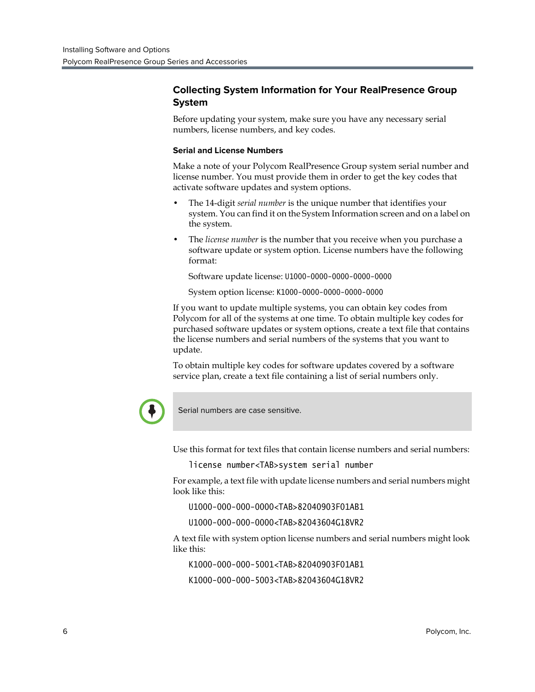### <span id="page-5-1"></span>**Collecting System Information for Your RealPresence Group System**

Before updating your system, make sure you have any necessary serial numbers, license numbers, and key codes.

#### <span id="page-5-0"></span>**Serial and License Numbers**

Make a note of your Polycom RealPresence Group system serial number and license number. You must provide them in order to get the key codes that activate software updates and system options.

- **•** The 14-digit *serial number* is the unique number that identifies your system. You can find it on the System Information screen and on a label on the system.
- **•** The *license number* is the number that you receive when you purchase a software update or system option. License numbers have the following format:

Software update license: U1000-0000-0000-0000-0000

System option license: K1000-0000-0000-0000-0000

If you want to update multiple systems, you can obtain key codes from Polycom for all of the systems at one time. To obtain multiple key codes for purchased software updates or system options, create a text file that contains the license numbers and serial numbers of the systems that you want to update.

To obtain multiple key codes for software updates covered by a software service plan, create a text file containing a list of serial numbers only.



Serial numbers are case sensitive.

Use this format for text files that contain license numbers and serial numbers:

license number<TAB>system serial number

For example, a text file with update license numbers and serial numbers might look like this:

U1000-000-000-0000<TAB>82040903F01AB1

U1000-000-000-0000<TAB>82043604G18VR2

A text file with system option license numbers and serial numbers might look like this:

K1000-000-000-5001<TAB>82040903F01AB1

K1000-000-000-5003<TAB>82043604G18VR2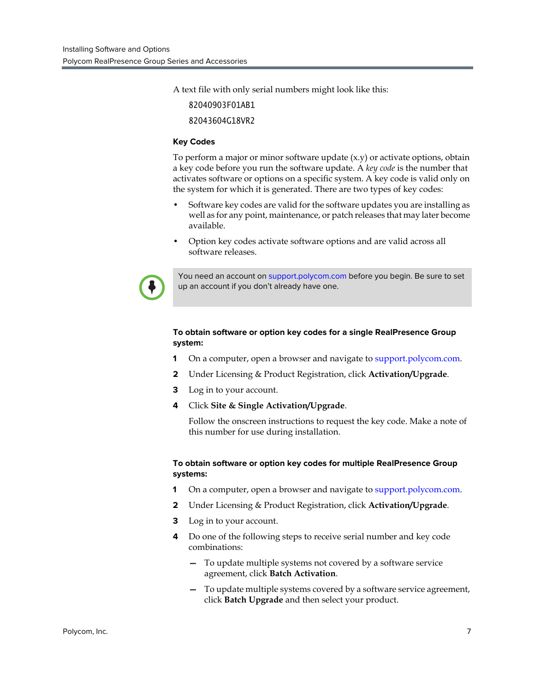A text file with only serial numbers might look like this:

82040903F01AB1

82043604G18VR2

#### **Key Codes**

To perform a major or minor software update (x.y) or activate options, obtain a key code before you run the software update. A *key code* is the number that activates software or options on a specific system. A key code is valid only on the system for which it is generated. There are two types of key codes:

- **•** Software key codes are valid for the software updates you are installing as well as for any point, maintenance, or patch releases that may later become available.
- **•** Option key codes activate software options and are valid across all software releases.

You need an account on [support.polycom.com](http://support.polycom.com) before you begin. Be sure to set up an account if you don't already have one.

#### **To obtain software or option key codes for a single RealPresence Group system:**

- **1** On a computer, open a browser and navigate to [support.polycom.com.](http://support.polycom.com)
- **2** Under Licensing & Product Registration, click **Activation/Upgrade**.
- **3** Log in to your account.
- **4** Click **Site & Single Activation/Upgrade**.

Follow the onscreen instructions to request the key code. Make a note of this number for use during installation.

#### **To obtain software or option key codes for multiple RealPresence Group systems:**

- **1** On a computer, open a browser and navigate to [support.polycom.com.](http://support.polycom.com)
- **2** Under Licensing & Product Registration, click **Activation/Upgrade**.
- **3** Log in to your account.
- **4** Do one of the following steps to receive serial number and key code combinations:
	- **—** To update multiple systems not covered by a software service agreement, click **Batch Activation**.
	- **—** To update multiple systems covered by a software service agreement, click **Batch Upgrade** and then select your product.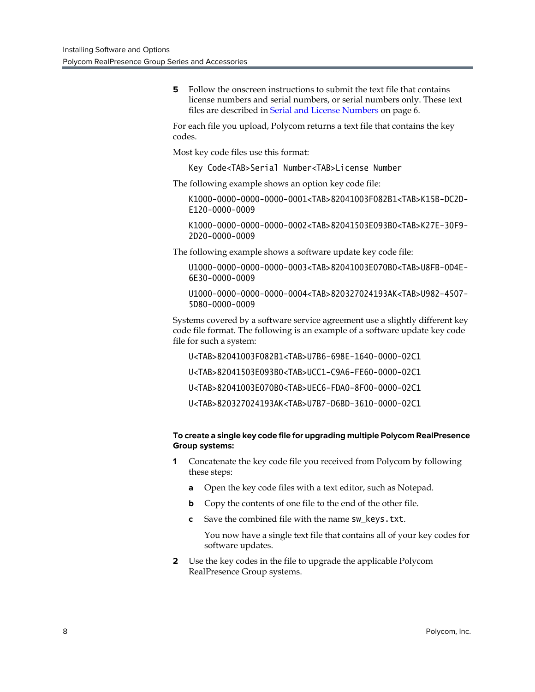**5** Follow the onscreen instructions to submit the text file that contains license numbers and serial numbers, or serial numbers only. These text files are described in [Serial and License Numbers on page 6.](#page-5-0)

For each file you upload, Polycom returns a text file that contains the key codes.

Most key code files use this format:

Key Code<TAB>Serial Number<TAB>License Number

The following example shows an option key code file:

K1000-0000-0000-0000-0001<TAB>82041003F082B1<TAB>K15B-DC2D-E120-0000-0009

K1000-0000-0000-0000-0002<TAB>82041503E093B0<TAB>K27E-30F9- 2D20-0000-0009

The following example shows a software update key code file:

U1000-0000-0000-0000-0003<TAB>82041003E070B0<TAB>U8FB-0D4E-6E30-0000-0009

U1000-0000-0000-0000-0004<TAB>820327024193AK<TAB>U982-4507- 5D80-0000-0009

Systems covered by a software service agreement use a slightly different key code file format. The following is an example of a software update key code file for such a system:

U<TAB>82041003F082B1<TAB>U7B6-698E-1640-0000-02C1

U<TAB>82041503E093B0<TAB>UCC1-C9A6-FE60-0000-02C1

U<TAB>82041003E070B0<TAB>UEC6-FDA0-8F00-0000-02C1

U<TAB>820327024193AK<TAB>U7B7-D6BD-3610-0000-02C1

#### **To create a single key code file for upgrading multiple Polycom RealPresence Group systems:**

- **1** Concatenate the key code file you received from Polycom by following these steps:
	- **a** Open the key code files with a text editor, such as Notepad.
	- **b** Copy the contents of one file to the end of the other file.
	- **c** Save the combined file with the name sw\_keys.txt.

You now have a single text file that contains all of your key codes for software updates.

**2** Use the key codes in the file to upgrade the applicable Polycom RealPresence Group systems.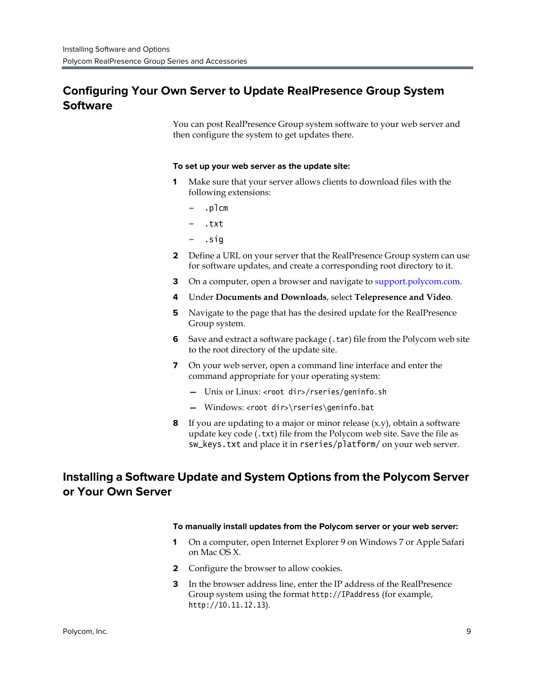# **Configuring Your Own Server to Update RealPresence Group System Software**

You can post RealPresence Group system software to your web server and then configure the system to get updates there.

#### **To set up your web server as the update site:**

- **1** Make sure that your server allows clients to download files with the following extensions:
	- *—* .plcm
	- *—* .txt
	- *—* .sig
- **2** Define a URL on your server that the RealPresence Group system can use for software updates, and create a corresponding root directory to it.
- **3** On a computer, open a browser and navigate to [support.polycom.com.](http://support.polycom.com)
- **4** Under **Documents and Downloads**, select **Telepresence and Video**.
- **5** Navigate to the page that has the desired update for the RealPresence Group system.
- **6** Save and extract a software package (.tar) file from the Polycom web site to the root directory of the update site.
- **7** On your web server, open a command line interface and enter the command appropriate for your operating system:
	- **—** Unix or Linux: <root dir>/rseries/geninfo.sh
	- **—** Windows: <root dir>\rseries\geninfo.bat
- **8** If you are updating to a major or minor release (x.y), obtain a software update key code (.txt) file from the Polycom web site. Save the file as sw\_keys.txt and place it in rseries/platform/ on your web server.

### **Installing a Software Update and System Options from the Polycom Server or Your Own Server**

#### **To manually install updates from the Polycom server or your web server:**

- **1** On a computer, open Internet Explorer 9 on Windows 7 or Apple Safari on Mac OS X.
- **2** Configure the browser to allow cookies.
- **3** In the browser address line, enter the IP address of the RealPresence Group system using the format http://IPaddress (for example, http://10.11.12.13).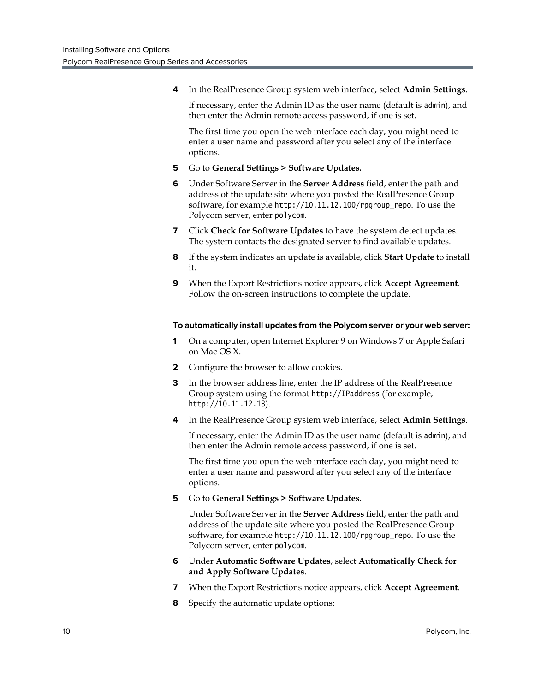**4** In the RealPresence Group system web interface, select **Admin Settings**.

If necessary, enter the Admin ID as the user name (default is admin), and then enter the Admin remote access password, if one is set.

The first time you open the web interface each day, you might need to enter a user name and password after you select any of the interface options.

- **5** Go to **General Settings > Software Updates.**
- **6** Under Software Server in the **Server Address** field, enter the path and address of the update site where you posted the RealPresence Group software, for example http://10.11.12.100/rpgroup\_repo. To use the Polycom server, enter polycom.
- **7** Click **Check for Software Updates** to have the system detect updates. The system contacts the designated server to find available updates.
- **8** If the system indicates an update is available, click **Start Update** to install it.
- **9** When the Export Restrictions notice appears, click **Accept Agreement**. Follow the on-screen instructions to complete the update.

#### **To automatically install updates from the Polycom server or your web server:**

- **1** On a computer, open Internet Explorer 9 on Windows 7 or Apple Safari on Mac OS X.
- **2** Configure the browser to allow cookies.
- **3** In the browser address line, enter the IP address of the RealPresence Group system using the format http://IPaddress (for example, http://10.11.12.13).
- **4** In the RealPresence Group system web interface, select **Admin Settings**.

If necessary, enter the Admin ID as the user name (default is admin), and then enter the Admin remote access password, if one is set.

The first time you open the web interface each day, you might need to enter a user name and password after you select any of the interface options.

**5** Go to **General Settings > Software Updates.**

Under Software Server in the **Server Address** field, enter the path and address of the update site where you posted the RealPresence Group software, for example http://10.11.12.100/rpgroup\_repo. To use the Polycom server, enter polycom.

- **6** Under **Automatic Software Updates**, select **Automatically Check for and Apply Software Updates**.
- **7** When the Export Restrictions notice appears, click **Accept Agreement**.
- **8** Specify the automatic update options: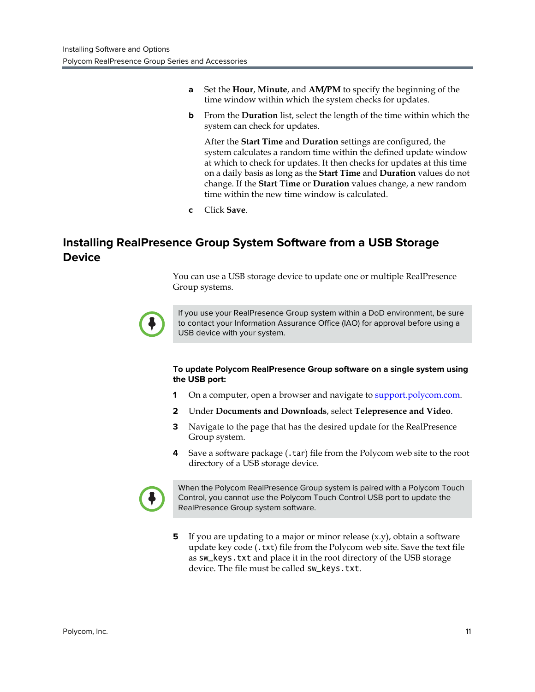- **a** Set the **Hour**, **Minute**, and **AM/PM** to specify the beginning of the time window within which the system checks for updates.
- **b** From the **Duration** list, select the length of the time within which the system can check for updates.

After the **Start Time** and **Duration** settings are configured, the system calculates a random time within the defined update window at which to check for updates. It then checks for updates at this time on a daily basis as long as the **Start Time** and **Duration** values do not change. If the **Start Time** or **Duration** values change, a new random time within the new time window is calculated.

**c** Click **Save**.

### **Installing RealPresence Group System Software from a USB Storage Device**

You can use a USB storage device to update one or multiple RealPresence Group systems.



If you use your RealPresence Group system within a DoD environment, be sure to contact your Information Assurance Office (IAO) for approval before using a USB device with your system.

#### **To update Polycom RealPresence Group software on a single system using the USB port:**

- **1** On a computer, open a browser and navigate to [support.polycom.com.](http://support.polycom.com)
- **2** Under **Documents and Downloads**, select **Telepresence and Video**.
- **3** Navigate to the page that has the desired update for the RealPresence Group system.
- **4** Save a software package (.tar) file from the Polycom web site to the root directory of a USB storage device.



When the Polycom RealPresence Group system is paired with a Polycom Touch Control, you cannot use the Polycom Touch Control USB port to update the RealPresence Group system software.

**5** If you are updating to a major or minor release (x.y), obtain a software update key code (.txt) file from the Polycom web site. Save the text file as sw\_keys.txt and place it in the root directory of the USB storage device. The file must be called sw\_keys.txt.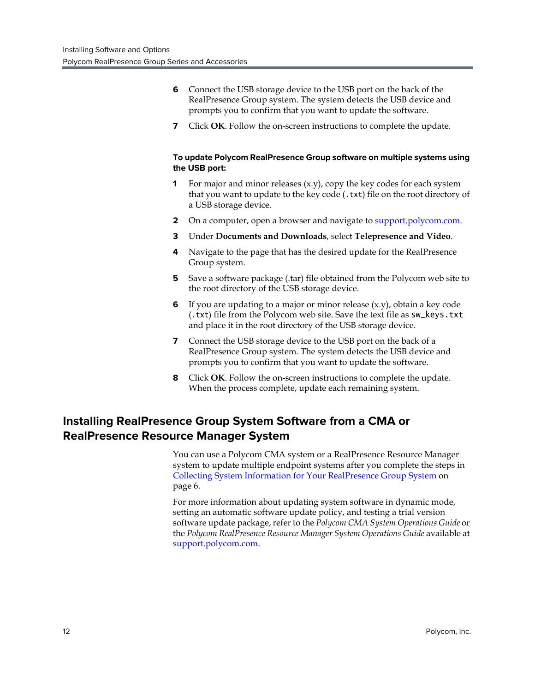- **6** Connect the USB storage device to the USB port on the back of the RealPresence Group system. The system detects the USB device and prompts you to confirm that you want to update the software.
- **7** Click **OK**. Follow the on-screen instructions to complete the update.

#### **To update Polycom RealPresence Group software on multiple systems using the USB port:**

- **1** For major and minor releases  $(x,y)$ , copy the key codes for each system that you want to update to the key code (.txt) file on the root directory of a USB storage device.
- **2** On a computer, open a browser and navigate to [support.polycom.com.](http://support.polycom.com)
- **3** Under **Documents and Downloads**, select **Telepresence and Video**.
- **4** Navigate to the page that has the desired update for the RealPresence Group system.
- **5** Save a software package (.tar) file obtained from the Polycom web site to the root directory of the USB storage device.
- **6** If you are updating to a major or minor release (x.y), obtain a key code (.txt) file from the Polycom web site. Save the text file as sw\_keys.txt and place it in the root directory of the USB storage device.
- **7** Connect the USB storage device to the USB port on the back of a RealPresence Group system. The system detects the USB device and prompts you to confirm that you want to update the software.
- **8** Click **OK**. Follow the on-screen instructions to complete the update. When the process complete, update each remaining system.

## **Installing RealPresence Group System Software from a CMA or RealPresence Resource Manager System**

You can use a Polycom CMA system or a RealPresence Resource Manager system to update multiple endpoint systems after you complete the steps in [Collecting System Information for Your RealPresence Group System on](#page-5-1)  [page 6.](#page-5-1)

For more information about updating system software in dynamic mode, setting an automatic software update policy, and testing a trial version software update package, refer to the *Polycom CMA System Operations Guide* or the *Polycom RealPresence Resource Manager System Operations Guide* available at [support.polycom.com](http://support.polycom.com).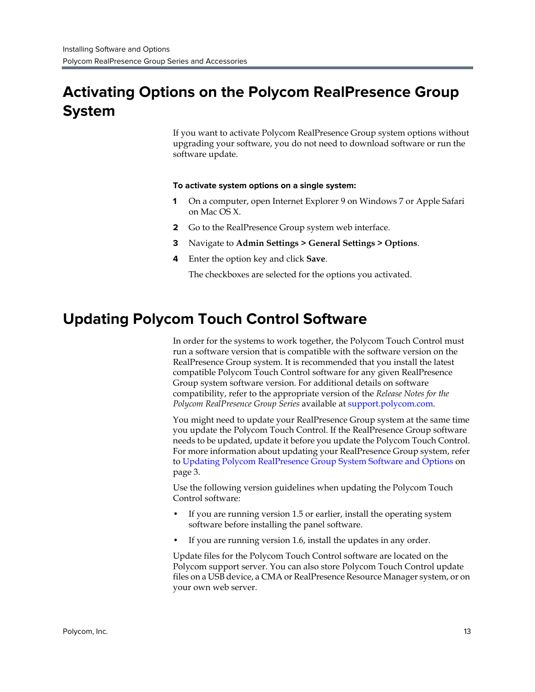# **Activating Options on the Polycom RealPresence Group System**

If you want to activate Polycom RealPresence Group system options without upgrading your software, you do not need to download software or run the software update.

#### **To activate system options on a single system:**

- **1** On a computer, open Internet Explorer 9 on Windows 7 or Apple Safari on Mac OS X.
- **2** Go to the RealPresence Group system web interface.
- **3** Navigate to **Admin Settings > General Settings > Options**.
- **4** Enter the option key and click **Save**.

The checkboxes are selected for the options you activated.

# <span id="page-12-0"></span>**Updating Polycom Touch Control Software**

In order for the systems to work together, the Polycom Touch Control must run a software version that is compatible with the software version on the RealPresence Group system. It is recommended that you install the latest compatible Polycom Touch Control software for any given RealPresence Group system software version. For additional details on software compatibility, refer to the appropriate version of the *Release Notes for the Polycom RealPresence Group Series* available at [support.polycom.com.](http://support.polycom.com)

You might need to update your RealPresence Group system at the same time you update the Polycom Touch Control. If the RealPresence Group software needs to be updated, update it before you update the Polycom Touch Control. For more information about updating your RealPresence Group system, refer to [Updating Polycom RealPresence Group System Software and Options on](#page-2-0)  [page 3.](#page-2-0)

Use the following version guidelines when updating the Polycom Touch Control software:

- **•** If you are running version 1.5 or earlier, install the operating system software before installing the panel software.
- **•** If you are running version 1.6, install the updates in any order.

Update files for the Polycom Touch Control software are located on the Polycom support server. You can also store Polycom Touch Control update files on a USB device, a CMA or RealPresence Resource Manager system, or on your own web server.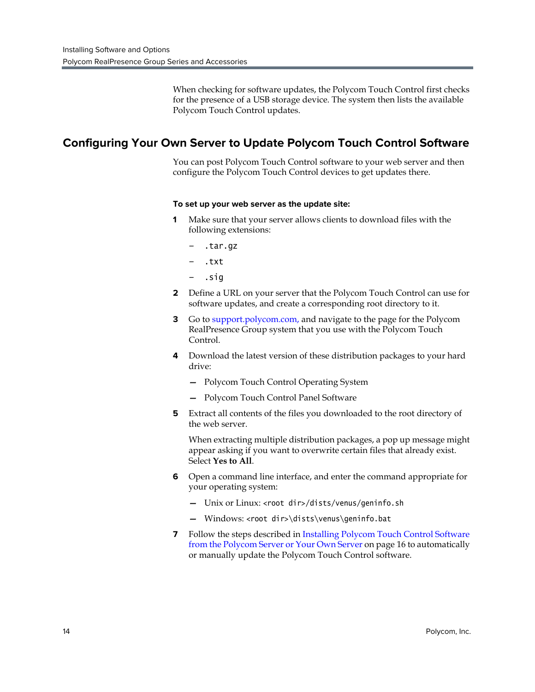When checking for software updates, the Polycom Touch Control first checks for the presence of a USB storage device. The system then lists the available Polycom Touch Control updates.

### **Configuring Your Own Server to Update Polycom Touch Control Software**

You can post Polycom Touch Control software to your web server and then configure the Polycom Touch Control devices to get updates there.

#### **To set up your web server as the update site:**

- **1** Make sure that your server allows clients to download files with the following extensions:
	- *—* .tar.gz
	- *—* .txt
	- *—* .sig
- **2** Define a URL on your server that the Polycom Touch Control can use for software updates, and create a corresponding root directory to it.
- **3** Go to [support.polycom.com,](http://support.polycom.com) and navigate to the page for the Polycom RealPresence Group system that you use with the Polycom Touch Control.
- **4** Download the latest version of these distribution packages to your hard drive:
	- **—** Polycom Touch Control Operating System
	- **—** Polycom Touch Control Panel Software
- **5** Extract all contents of the files you downloaded to the root directory of the web server.

When extracting multiple distribution packages, a pop up message might appear asking if you want to overwrite certain files that already exist. Select **Yes to All**.

- **6** Open a command line interface, and enter the command appropriate for your operating system:
	- **—** Unix or Linux: <root dir>/dists/venus/geninfo.sh
	- Windows: <root dir>\dists\venus\geninfo.bat
- **7** Follow the steps described in [Installing Polycom Touch Control Software](#page-15-0)  [from the Polycom Server or Your Own Server on page 16](#page-15-0) to automatically or manually update the Polycom Touch Control software.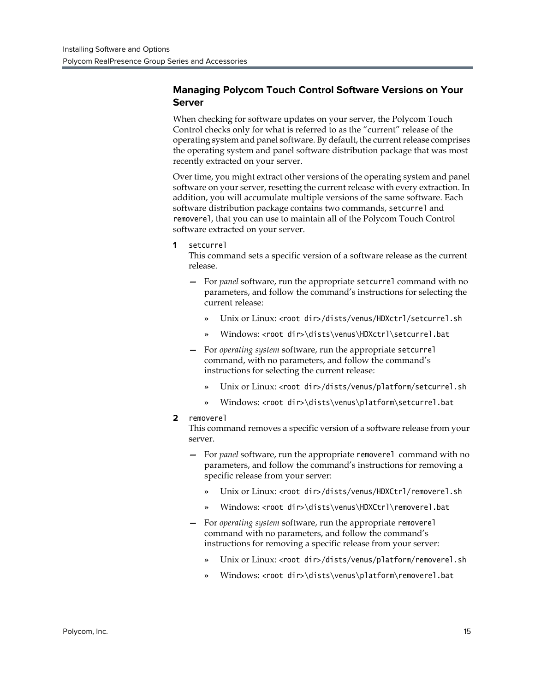### **Managing Polycom Touch Control Software Versions on Your Server**

When checking for software updates on your server, the Polycom Touch Control checks only for what is referred to as the "current" release of the operating system and panel software. By default, the current release comprises the operating system and panel software distribution package that was most recently extracted on your server.

Over time, you might extract other versions of the operating system and panel software on your server, resetting the current release with every extraction. In addition, you will accumulate multiple versions of the same software. Each software distribution package contains two commands, setcurrel and removerel, that you can use to maintain all of the Polycom Touch Control software extracted on your server.

**1** setcurrel

This command sets a specific version of a software release as the current release.

- **—** For *panel* software, run the appropriate setcurrel command with no parameters, and follow the command's instructions for selecting the current release:
	- **»** Unix or Linux: <root dir>/dists/venus/HDXctrl/setcurrel.sh
	- **»** Windows: <root dir>\dists\venus\HDXctrl\setcurrel.bat
- **—** For *operating system* software, run the appropriate setcurrel command, with no parameters, and follow the command's instructions for selecting the current release:
	- **»** Unix or Linux: <root dir>/dists/venus/platform/setcurrel.sh
	- **»** Windows: <root dir>\dists\venus\platform\setcurrel.bat

#### **2** removerel

This command removes a specific version of a software release from your server.

- **—** For *panel* software, run the appropriate removerel command with no parameters, and follow the command's instructions for removing a specific release from your server:
	- **»** Unix or Linux: <root dir>/dists/venus/HDXCtrl/removerel.sh
	- **»** Windows: <root dir>\dists\venus\HDXCtrl\removerel.bat
- **—** For *operating system* software, run the appropriate removerel command with no parameters, and follow the command's instructions for removing a specific release from your server:
	- **»** Unix or Linux: <root dir>/dists/venus/platform/removerel.sh
	- **»** Windows: <root dir>\dists\venus\platform\removerel.bat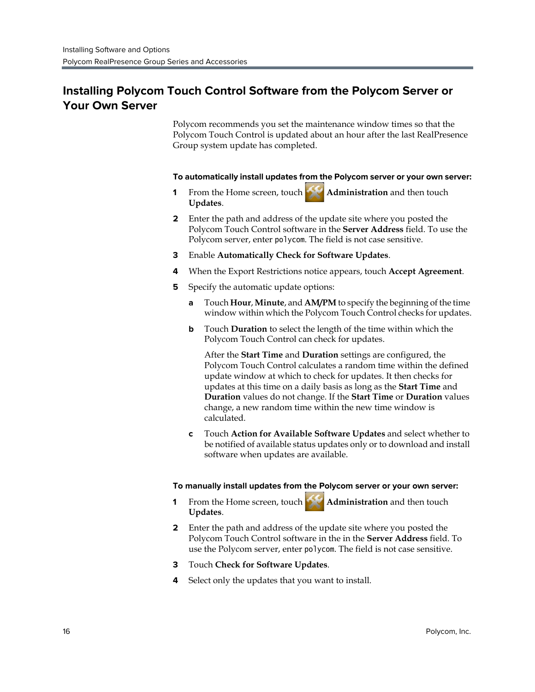## <span id="page-15-0"></span>**Installing Polycom Touch Control Software from the Polycom Server or Your Own Server**

Polycom recommends you set the maintenance window times so that the Polycom Touch Control is updated about an hour after the last RealPresence Group system update has completed.

#### **To automatically install updates from the Polycom server or your own server:**

- **1** From the Home screen, touch **Administration** and then touch **Updates**.
- **2** Enter the path and address of the update site where you posted the Polycom Touch Control software in the **Server Address** field. To use the Polycom server, enter polycom. The field is not case sensitive.
- **3** Enable **Automatically Check for Software Updates**.
- **4** When the Export Restrictions notice appears, touch **Accept Agreement**.
- **5** Specify the automatic update options:
	- **a** Touch **Hour**, **Minute**, and **AM/PM** to specify the beginning of the time window within which the Polycom Touch Control checks for updates.
	- **b** Touch **Duration** to select the length of the time within which the Polycom Touch Control can check for updates.

After the **Start Time** and **Duration** settings are configured, the Polycom Touch Control calculates a random time within the defined update window at which to check for updates. It then checks for updates at this time on a daily basis as long as the **Start Time** and **Duration** values do not change. If the **Start Time** or **Duration** values change, a new random time within the new time window is calculated.

**c** Touch **Action for Available Software Updates** and select whether to be notified of available status updates only or to download and install software when updates are available.

#### **To manually install updates from the Polycom server or your own server:**

- **1** From the Home screen, touch **Administration** and then touch **Updates**.
- **2** Enter the path and address of the update site where you posted the Polycom Touch Control software in the in the **Server Address** field. To use the Polycom server, enter polycom. The field is not case sensitive.
- **3** Touch **Check for Software Updates**.
- **4** Select only the updates that you want to install.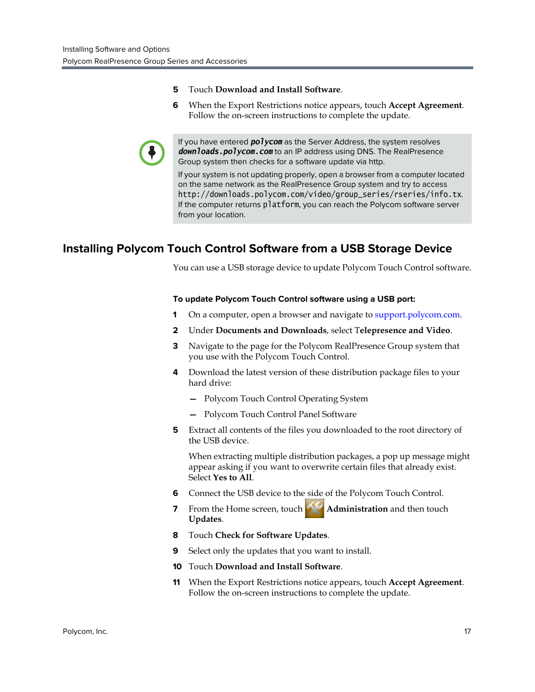- **5** Touch **Download and Install Software**.
- **6** When the Export Restrictions notice appears, touch **Accept Agreement**. Follow the on-screen instructions to complete the update.



If you have entered *polycom* as the Server Address, the system resolves *downloads.polycom.com* to an IP address using DNS. The RealPresence Group system then checks for a software update via http.

If your system is not updating properly, open a browser from a computer located on the same network as the RealPresence Group system and try to access http://downloads.polycom.com/video/group\_series/rseries/info.tx. If the computer returns platform, you can reach the Polycom software server from your location.

## **Installing Polycom Touch Control Software from a USB Storage Device**

You can use a USB storage device to update Polycom Touch Control software.

#### **To update Polycom Touch Control software using a USB port:**

- **1** On a computer, open a browser and navigate to [support.polycom.com.](http://support.polycom.com)
- **2** Under **Documents and Downloads**, select T**elepresence and Video**.
- **3** Navigate to the page for the Polycom RealPresence Group system that you use with the Polycom Touch Control.
- **4** Download the latest version of these distribution package files to your hard drive:
	- **—** Polycom Touch Control Operating System
	- **—** Polycom Touch Control Panel Software
- **5** Extract all contents of the files you downloaded to the root directory of the USB device.

When extracting multiple distribution packages, a pop up message might appear asking if you want to overwrite certain files that already exist. Select **Yes to All**.

- **6** Connect the USB device to the side of the Polycom Touch Control.
- **7** From the Home screen, touch **Administration** and then touch **Updates**.
- **8** Touch **Check for Software Updates**.
- **9** Select only the updates that you want to install.
- **10** Touch **Download and Install Software**.
- **11** When the Export Restrictions notice appears, touch **Accept Agreement**. Follow the on-screen instructions to complete the update.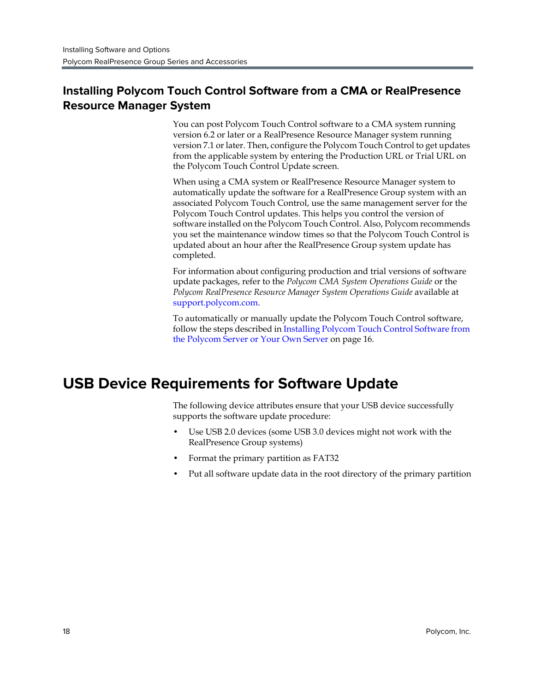## **Installing Polycom Touch Control Software from a CMA or RealPresence Resource Manager System**

You can post Polycom Touch Control software to a CMA system running version 6.2 or later or a RealPresence Resource Manager system running version 7.1 or later. Then, configure the Polycom Touch Control to get updates from the applicable system by entering the Production URL or Trial URL on the Polycom Touch Control Update screen.

When using a CMA system or RealPresence Resource Manager system to automatically update the software for a RealPresence Group system with an associated Polycom Touch Control, use the same management server for the Polycom Touch Control updates. This helps you control the version of software installed on the Polycom Touch Control. Also, Polycom recommends you set the maintenance window times so that the Polycom Touch Control is updated about an hour after the RealPresence Group system update has completed.

For information about configuring production and trial versions of software update packages, refer to the *Polycom CMA System Operations Guide* or the *Polycom RealPresence Resource Manager System Operations Guide* available at [support.polycom.com](http://support.polycom.com).

To automatically or manually update the Polycom Touch Control software, follow the steps described in [Installing Polycom Touch Control Software from](#page-15-0)  [the Polycom Server or Your Own Server on page 16.](#page-15-0)

# **USB Device Requirements for Software Update**

The following device attributes ensure that your USB device successfully supports the software update procedure:

- **•** Use USB 2.0 devices (some USB 3.0 devices might not work with the RealPresence Group systems)
- **•** Format the primary partition as FAT32
- **•** Put all software update data in the root directory of the primary partition